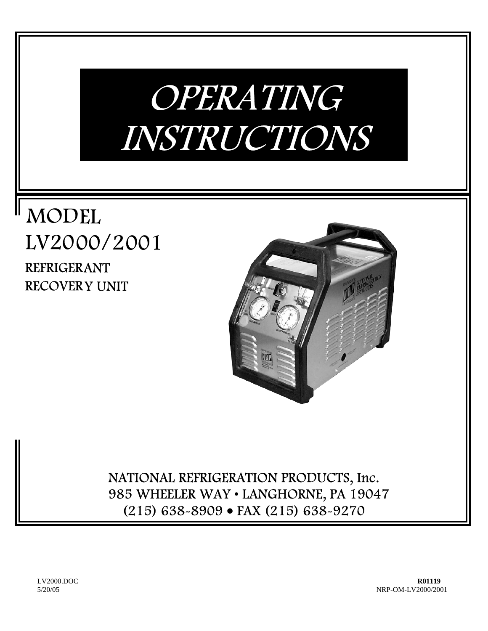# OPERATING INSTRUCTIONS

## MODEL LV2000/2001 REFRIGERANT RECOVERY UNIT



NATIONAL REFRIGERATION PRODUCTS, Inc. 985 WHEELER WAY • LANGHORNE, PA 19047 (215) 638-8909 • FAX (215) 638-9270

LV2000.DOC **R01119** 5/20/05NRP-OM-LV2000/2001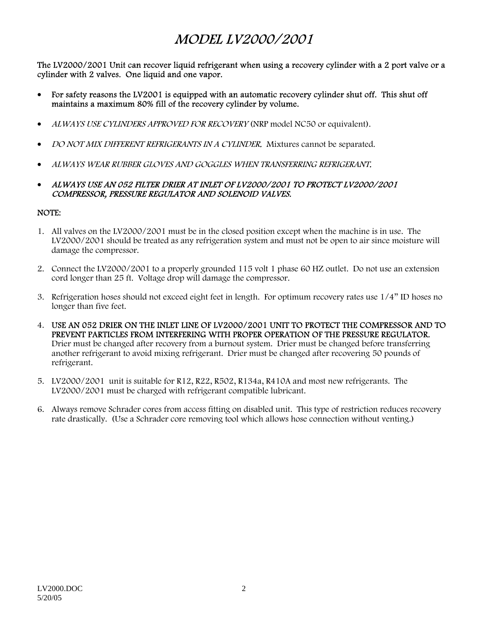## MODEL LV2000/2001

The LV2000/2001 Unit can recover liquid refrigerant when using a recovery cylinder with a 2 port valve or a cylinder with 2 valves. One liquid and one vapor.

- For safety reasons the LV2001 is equipped with an automatic recovery cylinder shut off. This shut off maintains a maximum 80% fill of the recovery cylinder by volume.
- ALWAYS USE CYLINDERS APPROVED FOR RECOVERY (NRP model NC50 or equivalent).
- DO NOT MIX DIFFERENT REFRIGERANTS IN A CYLINDER. Mixtures cannot be separated.
- ALWAYS WEAR RUBBER GLOVES AND GOGGLES WHEN TRANSFERRING REFRIGERANT.
- ALWAYS USE AN 052 FILTER DRIER AT INLET OF LV2000/2001 TO PROTECT LV2000/2001 COMPRESSOR, PRESSURE REGULATOR AND SOLENOID VALVES.

#### NOTE:

- 1. All valves on the LV2000/2001 must be in the closed position except when the machine is in use. The LV2000/2001 should be treated as any refrigeration system and must not be open to air since moisture will damage the compressor.
- 2. Connect the LV2000/2001 to a properly grounded 115 volt 1 phase 60 HZ outlet. Do not use an extension cord longer than 25 ft. Voltage drop will damage the compressor.
- 3. Refrigeration hoses should not exceed eight feet in length. For optimum recovery rates use 1/4" ID hoses no longer than five feet.
- 4. USE AN 052 DRIER ON THE INLET LINE OF LV2000/2001 UNIT TO PROTECT THE COMPRESSOR AND TO PREVENT PARTICLES FROM INTERFERING WITH PROPER OPERATION OF THE PRESSURE REGULATOR. Drier must be changed after recovery from a burnout system. Drier must be changed before transferring another refrigerant to avoid mixing refrigerant. Drier must be changed after recovering 50 pounds of refrigerant.
- 5. LV2000/2001 unit is suitable for R12, R22, R502, R134a, R410A and most new refrigerants. The LV2000/2001 must be charged with refrigerant compatible lubricant.
- 6. Always remove Schrader cores from access fitting on disabled unit. This type of restriction reduces recovery rate drastically. (Use a Schrader core removing tool which allows hose connection without venting.)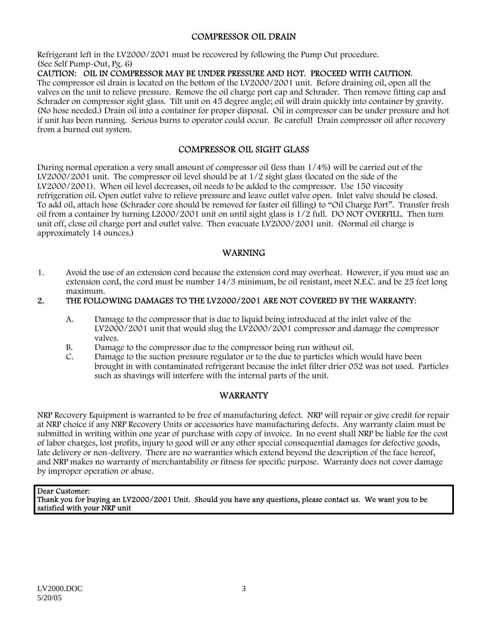#### COMPRESSOR OIL DRAIN

Refrigerant left in the LV2000/2001 must be recovered by following the Pump Out procedure. (See Self Pump-Out, Pg. 6)

#### CAUTION: OIL IN COMPRESSOR MAY BE UNDER PRESSURE AND HOT. PROCEED WITH CAUTION.

The compressor oil drain is located on the bottom of the LV2000/2001 unit. Before draining oil, open all the valves on the unit to relieve pressure. Remove the oil charge port cap and Schrader. Then remove fitting cap and Schrader on compressor sight glass. Tilt unit on 45 degree angle; oil will drain quickly into container by gravity. (No hose needed.) Drain oil into a container for proper disposal. Oil in compressor can be under pressure and hot if unit has been running. Serious burns to operator could occur. Be careful! Drain compressor oil after recovery from a burned out system.

#### COMPRESSOR OIL SIGHT GLASS

During normal operation a very small amount of compressor oil (less than 1/4%) will be carried out of the LV2000/2001 unit. The compressor oil level should be at 1/2 sight glass (located on the side of the LV2000/2001). When oil level decreases, oil needs to be added to the compressor. Use 150 viscosity refrigeration oil. Open outlet valve to relieve pressure and leave outlet valve open. Inlet valve should be closed. To add oil, attach hose (Schrader core should be removed for faster oil filling) to "Oil Charge Port". Transfer fresh oil from a container by turning L2000/2001 unit on until sight glass is 1/2 full. DO NOT OVERFILL. Then turn unit off, close oil charge port and outlet valve. Then evacuate LV2000/2001 unit. (Normal oil charge is approximately 14 ounces.)

#### WARNING

1. Avoid the use of an extension cord because the extension cord may overheat. However, if you must use an extension cord, the cord must be number 14/3 minimum, be oil resistant, meet N.E.C. and be 25 feet long maximum.

#### 2. THE FOLLOWING DAMAGES TO THE LV2000/2001 ARE NOT COVERED BY THE WARRANTY:

- A. Damage to the compressor that is due to liquid being introduced at the inlet valve of the LV2000/2001 unit that would slug the LV2000/2001 compressor and damage the compressor valves.
- B. Damage to the compressor due to the compressor being run without oil.
- C. Damage to the suction pressure regulator or to the due to particles which would have been brought in with contaminated refrigerant because the inlet filter drier 052 was not used. Particles such as shavings will interfere with the internal parts of the unit.

#### WARRANTY

NRP Recovery Equipment is warranted to be free of manufacturing defect. NRP will repair or give credit for repair at NRP choice if any NRP Recovery Units or accessories have manufacturing defects. Any warranty claim must be submitted in writing within one year of purchase with copy of invoice. In no event shall NRP be liable for the cost of labor charges, lost profits, injury to good will or any other special consequential damages for defective goods, late delivery or non-delivery. There are no warranties which extend beyond the description of the face hereof, and NRP makes no warranty of merchantability or fitness for specific purpose. Warranty does not cover damage by improper operation or abuse.

#### Dear Customer:

Thank you for buying an LV2000/2001 Unit. Should you have any questions, please contact us. We want you to be satisfied with your NRP unit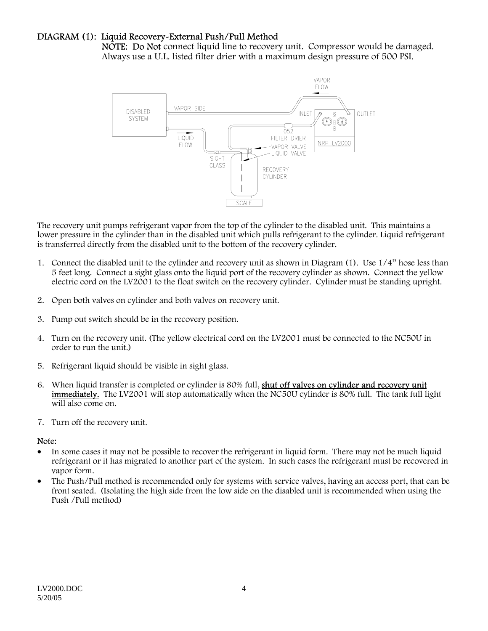#### DIAGRAM (1): Liquid Recovery-External Push/Pull Method

NOTE: Do Not connect liquid line to recovery unit. Compressor would be damaged. Always use a U.L. listed filter drier with a maximum design pressure of 500 PSI.



The recovery unit pumps refrigerant vapor from the top of the cylinder to the disabled unit. This maintains a lower pressure in the cylinder than in the disabled unit which pulls refrigerant to the cylinder. Liquid refrigerant is transferred directly from the disabled unit to the bottom of the recovery cylinder.

- 1. Connect the disabled unit to the cylinder and recovery unit as shown in Diagram (1). Use 1/4" hose less than 5 feet long. Connect a sight glass onto the liquid port of the recovery cylinder as shown. Connect the yellow electric cord on the LV2001 to the float switch on the recovery cylinder. Cylinder must be standing upright.
- 2. Open both valves on cylinder and both valves on recovery unit.
- 3. Pump out switch should be in the recovery position.
- 4. Turn on the recovery unit. (The yellow electrical cord on the LV2001 must be connected to the NC50U in order to run the unit.)
- 5. Refrigerant liquid should be visible in sight glass.
- 6. When liquid transfer is completed or cylinder is 80% full, shut off valves on cylinder and recovery unit immediately. The LV2001 will stop automatically when the NC50U cylinder is 80% full. The tank full light will also come on.
- 7. Turn off the recovery unit.

#### Note:

- In some cases it may not be possible to recover the refrigerant in liquid form. There may not be much liquid refrigerant or it has migrated to another part of the system. In such cases the refrigerant must be recovered in vapor form.
- The Push/Pull method is recommended only for systems with service valves, having an access port, that can be front seated. (Isolating the high side from the low side on the disabled unit is recommended when using the Push /Pull method)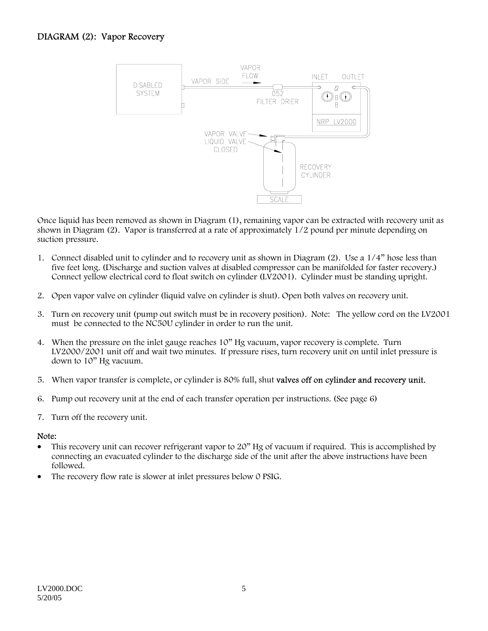

Once liquid has been removed as shown in Diagram (1), remaining vapor can be extracted with recovery unit as shown in Diagram (2). Vapor is transferred at a rate of approximately 1/2 pound per minute depending on suction pressure.

- 1. Connect disabled unit to cylinder and to recovery unit as shown in Diagram (2). Use a 1/4" hose less than five feet long. (Discharge and suction valves at disabled compressor can be manifolded for faster recovery.) Connect yellow electrical cord to float switch on cylinder (LV2001). Cylinder must be standing upright.
- 2. Open vapor valve on cylinder (liquid valve on cylinder is shut). Open both valves on recovery unit.
- 3. Turn on recovery unit (pump out switch must be in recovery position). Note: The yellow cord on the LV2001 must be connected to the NC50U cylinder in order to run the unit.
- 4. When the pressure on the inlet gauge reaches 10" Hg vacuum, vapor recovery is complete. Turn LV2000/2001 unit off and wait two minutes. If pressure rises, turn recovery unit on until inlet pressure is down to 10" Hg vacuum.
- 5. When vapor transfer is complete, or cylinder is 80% full, shut valves off on cylinder and recovery unit.
- 6. Pump out recovery unit at the end of each transfer operation per instructions. (See page 6)
- 7. Turn off the recovery unit.

#### Note:

- This recovery unit can recover refrigerant vapor to 20" Hg of vacuum if required. This is accomplished by connecting an evacuated cylinder to the discharge side of the unit after the above instructions have been followed.
- The recovery flow rate is slower at inlet pressures below 0 PSIG.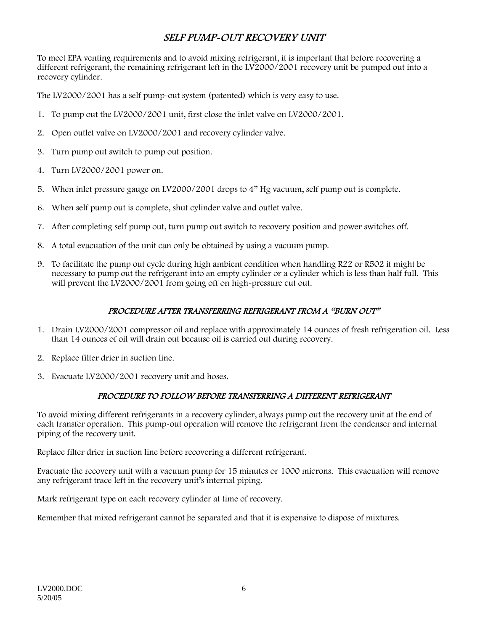## SELF PUMP-OUT RECOVERY UNIT

To meet EPA venting requirements and to avoid mixing refrigerant, it is important that before recovering a different refrigerant, the remaining refrigerant left in the LV2000/2001 recovery unit be pumped out into a recovery cylinder.

The LV2000/2001 has a self pump-out system (patented) which is very easy to use.

- 1. To pump out the LV2000/2001 unit, first close the inlet valve on LV2000/2001.
- 2. Open outlet valve on LV2000/2001 and recovery cylinder valve.
- 3. Turn pump out switch to pump out position.
- 4. Turn LV2000/2001 power on.
- 5. When inlet pressure gauge on LV2000/2001 drops to 4" Hg vacuum, self pump out is complete.
- 6. When self pump out is complete, shut cylinder valve and outlet valve.
- 7. After completing self pump out, turn pump out switch to recovery position and power switches off.
- 8. A total evacuation of the unit can only be obtained by using a vacuum pump.
- 9. To facilitate the pump out cycle during high ambient condition when handling R22 or R502 it might be necessary to pump out the refrigerant into an empty cylinder or a cylinder which is less than half full. This will prevent the LV2000/2001 from going off on high-pressure cut out.

#### PROCEDURE AFTER TRANSFERRING REFRIGERANT FROM A "BURN OUT"

- 1. Drain LV2000/2001 compressor oil and replace with approximately 14 ounces of fresh refrigeration oil. Less than 14 ounces of oil will drain out because oil is carried out during recovery.
- 2. Replace filter drier in suction line.
- 3. Evacuate LV2000/2001 recovery unit and hoses.

#### PROCEDURE TO FOLLOW BEFORE TRANSFERRING A DIFFERENT REFRIGERANT

To avoid mixing different refrigerants in a recovery cylinder, always pump out the recovery unit at the end of each transfer operation. This pump-out operation will remove the refrigerant from the condenser and internal piping of the recovery unit.

Replace filter drier in suction line before recovering a different refrigerant.

Evacuate the recovery unit with a vacuum pump for 15 minutes or 1000 microns. This evacuation will remove any refrigerant trace left in the recovery unit's internal piping.

Mark refrigerant type on each recovery cylinder at time of recovery.

Remember that mixed refrigerant cannot be separated and that it is expensive to dispose of mixtures.